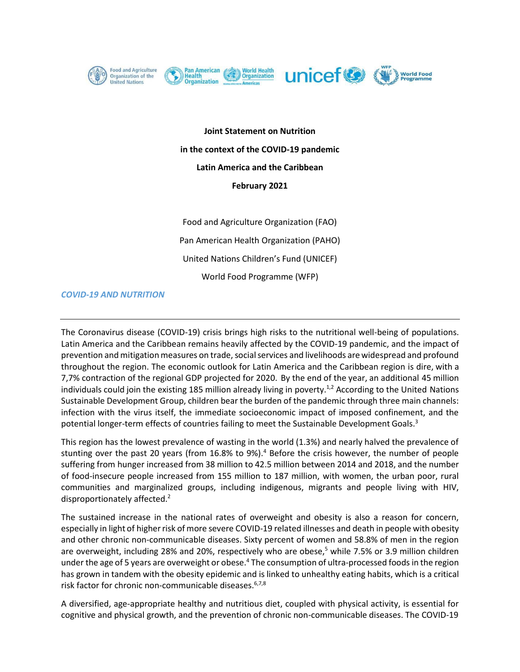









**Joint Statement on Nutrition in the context of the COVID-19 pandemic Latin America and the Caribbean February 2021**

Food and Agriculture Organization (FAO) Pan American Health Organization (PAHO) United Nations Children's Fund (UNICEF) World Food Programme (WFP)

### *COVID-19 AND NUTRITION*

The Coronavirus disease (COVID-19) crisis brings high risks to the nutritional well-being of populations. Latin America and the Caribbean remains heavily affected by the COVID-19 pandemic, and the impact of prevention and mitigation measures on trade, social services and livelihoods are widespread and profound throughout the region. The economic outlook for Latin America and the Caribbean region is dire, with a 7,7% contraction of the regional GDP projected for 2020. By the end of the year, an additional 45 million individuals could join the existing 185 million already living in poverty.<sup>1,2</sup> According to the United Nations Sustainable Development Group, children bear the burden of the pandemic through three main channels: infection with the virus itself, the immediate socioeconomic impact of imposed confinement, and the potential longer-term effects of countries failing to meet the Sustainable Development Goals.<sup>3</sup>

This region has the lowest prevalence of wasting in the world (1.3%) and nearly halved the prevalence of stunting over the past 20 years (from 16.8% to 9%).<sup>4</sup> Before the crisis however, the number of people suffering from hunger increased from 38 million to 42.5 million between 2014 and 2018, and the number of food-insecure people increased from 155 million to 187 million, with women, the urban poor, rural communities and marginalized groups, including indigenous, migrants and people living with HIV, disproportionately affected.<sup>2</sup>

The sustained increase in the national rates of overweight and obesity is also a reason for concern, especially in light of higherrisk of more severe COVID-19 related illnesses and death in people with obesity and other chronic non-communicable diseases. Sixty percent of women and 58.8% of men in the region are overweight, including 28% and 20%, respectively who are obese, <sup>5</sup> while 7.5% or 3.9 million children under the age of 5 years are overweight or obese.<sup>4</sup> The consumption of ultra-processed foods in the region has grown in tandem with the obesity epidemic and is linked to unhealthy eating habits, which is a critical risk factor for chronic non-communicable diseases.<sup>6,7,8</sup>

A diversified, age-appropriate healthy and nutritious diet, coupled with physical activity, is essential for cognitive and physical growth, and the prevention of chronic non-communicable diseases. The COVID-19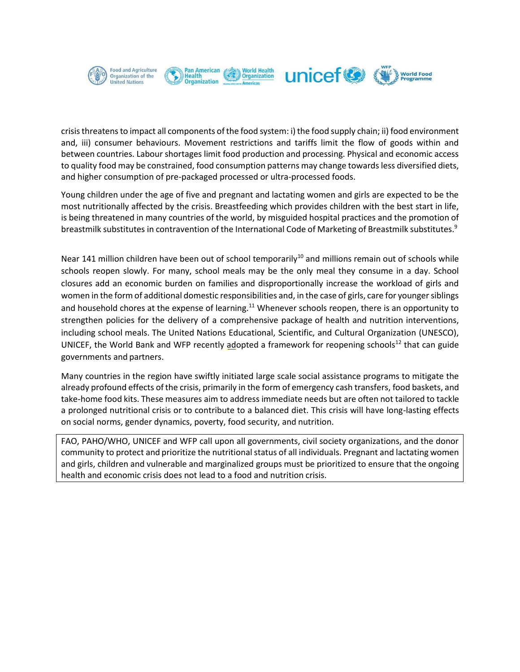

crisis threatens to impact all components of the food system: i) the food supply chain; ii) food environment and, iii) consumer behaviours. Movement restrictions and tariffs limit the flow of goods within and between countries. Labour shortages limit food production and processing. Physical and economic access to quality food may be constrained, food consumption patterns may change towards less diversified diets, and higher consumption of pre-packaged processed or ultra-processed foods.

Young children under the age of five and pregnant and lactating women and girls are expected to be the most nutritionally affected by the crisis. Breastfeeding which provides children with the best start in life, is being threatened in many countries of the world, by misguided hospital practices and the promotion of breastmilk substitutes in contravention of the International Code of Marketing of Breastmilk substitutes.<sup>9</sup>

Near 141 million children have been out of school temporarily<sup>10</sup> and millions remain out of schools while schools reopen slowly. For many, school meals may be the only meal they consume in a day. School closures add an economic burden on families and disproportionally increase the workload of girls and women in the form of additional domestic responsibilities and, in the case of girls, care for younger siblings and household chores at the expense of learning.<sup>11</sup> Whenever schools reopen, there is an opportunity to strengthen policies for the delivery of a comprehensive package of health and nutrition interventions, including school meals. The United Nations Educational, Scientific, and Cultural Organization (UNESCO), UNICEF, the World Bank and WFP recently adopted a framework for reopening schools<sup>[12](https://docs.wfp.org/api/documents/WFP-0000115123/download/?_ga=2.188436012.560190026.1590637221-896099814.1551660541)</sup> that can guide governments and partners.

Many countries in the region have swiftly initiated large scale social assistance programs to mitigate the already profound effects of the crisis, primarily in the form of emergency cash transfers, food baskets, and take-home food kits. These measures aim to address immediate needs but are often not tailored to tackle a prolonged nutritional crisis or to contribute to a balanced diet. This crisis will have long-lasting effects on social norms, gender dynamics, poverty, food security, and nutrition.

FAO, PAHO/WHO, UNICEF and WFP call upon all governments, civil society organizations, and the donor community to protect and prioritize the nutritional status of all individuals. Pregnant and lactating women and girls, children and vulnerable and marginalized groups must be prioritized to ensure that the ongoing health and economic crisis does not lead to a food and nutrition crisis.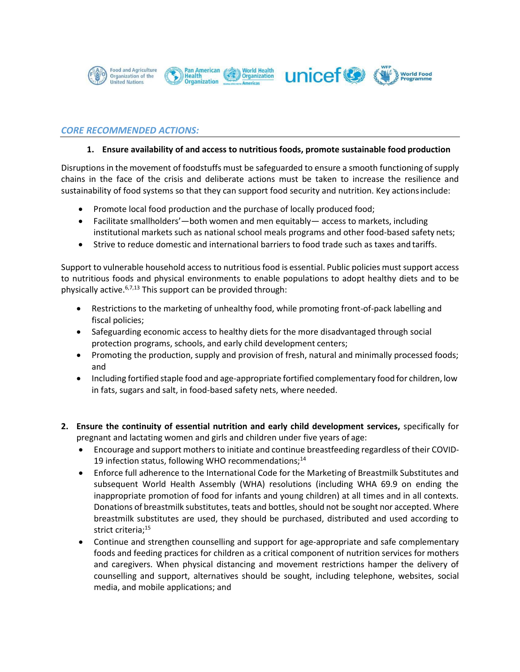

## *CORE RECOMMENDED ACTIONS:*

#### **1. Ensure availability of and access to nutritious foods, promote sustainable food production**

Disruptions in the movement of foodstuffs must be safeguarded to ensure a smooth functioning of supply chains in the face of the crisis and deliberate actions must be taken to increase the resilience and sustainability of food systems so that they can support food security and nutrition. Key actionsinclude:

- Promote local food production and the purchase of locally produced food;
- Facilitate smallholders'—both women and men equitably— access to markets, including institutional markets such as national school meals programs and other food-based safety nets;
- Strive to reduce domestic and international barriers to food trade such as taxes and tariffs.

Support to vulnerable household access to nutritious food is essential. Public policies must support access to nutritious foods and physical environments to enable populations to adopt healthy diets and to be physically active.<sup>6,7,13</sup> This support can be provided through:

- Restrictions to the marketing of unhealthy food, while promoting front-of-pack labelling and fiscal policies;
- Safeguarding economic access to healthy diets for the more disadvantaged through social protection programs, schools, and early child development centers;
- Promoting the production, supply and provision of fresh, natural and minimally processed foods; and
- Including fortified staple food and age-appropriate fortified complementary food for children, low in fats, sugars and salt, in food-based safety nets, where needed.
- **2. Ensure the continuity of essential nutrition and early child development services,** specifically for pregnant and lactating women and girls and children under five years of age:
	- Encourage and support mothers to initiate and continue breastfeeding regardless of their COVID-19 infection status, following WHO recommendations;<sup>14</sup>
	- Enforce full adherence to the International Code for the Marketing of Breastmilk Substitutes and subsequent World Health Assembly (WHA) resolutions (including WHA 69.9 on ending the inappropriate promotion of food for infants and young children) at all times and in all contexts. Donations of breastmilk substitutes, teats and bottles, should not be sought nor accepted. Where breastmilk substitutes are used, they should be purchased, distributed and used according to strict criteria;<sup>15</sup>
	- Continue and strengthen counselling and support for age-appropriate and safe complementary foods and feeding practices for children as a critical component of nutrition services for mothers and caregivers. When physical distancing and movement restrictions hamper the delivery of counselling and support, alternatives should be sought, including telephone, websites, social media, and mobile applications; and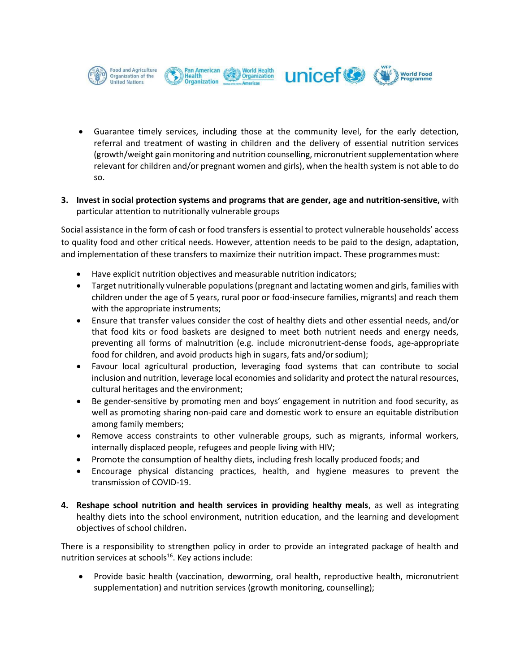

• Guarantee timely services, including those at the community level, for the early detection, referral and treatment of wasting in children and the delivery of essential nutrition services (growth/weight gain monitoring and nutrition counselling, micronutrient supplementation where relevant for children and/or pregnant women and girls), when the health system is not able to do so.

## **3. Invest in social protection systems and programs that are gender, age and nutrition-sensitive,** with particular attention to nutritionally vulnerable groups

Social assistance in the form of cash or food transfersis essential to protect vulnerable households' access to quality food and other critical needs. However, attention needs to be paid to the design, adaptation, and implementation of these transfers to maximize their nutrition impact. These programmes must:

- Have explicit nutrition objectives and measurable nutrition indicators;
- Target nutritionally vulnerable populations(pregnant and lactating women and girls, families with children under the age of 5 years, rural poor or food-insecure families, migrants) and reach them with the appropriate instruments;
- Ensure that transfer values consider the cost of healthy diets and other essential needs, and/or that food kits or food baskets are designed to meet both nutrient needs and energy needs, preventing all forms of malnutrition (e.g. include micronutrient-dense foods, age-appropriate food for children, and avoid products high in sugars, fats and/or sodium);
- Favour local agricultural production, leveraging food systems that can contribute to social inclusion and nutrition, leverage local economies and solidarity and protect the natural resources, cultural heritages and the environment;
- Be gender-sensitive by promoting men and boys' engagement in nutrition and food security, as well as promoting sharing non-paid care and domestic work to ensure an equitable distribution among family members;
- Remove access constraints to other vulnerable groups, such as migrants, informal workers, internally displaced people, refugees and people living with HIV;
- Promote the consumption of healthy diets, including fresh locally produced foods; and
- Encourage physical distancing practices, health, and hygiene measures to prevent the transmission of COVID-19.
- **4. Reshape school nutrition and health services in providing healthy meals**, as well as integrating healthy diets into the school environment, nutrition education, and the learning and development objectives of school children**.**

There is a responsibility to strengthen policy in order to provide an integrated package of health and nutrition services at schools $16$ . Key actions include:

• Provide basic health (vaccination, deworming, oral health, reproductive health, micronutrient supplementation) and nutrition services (growth monitoring, counselling);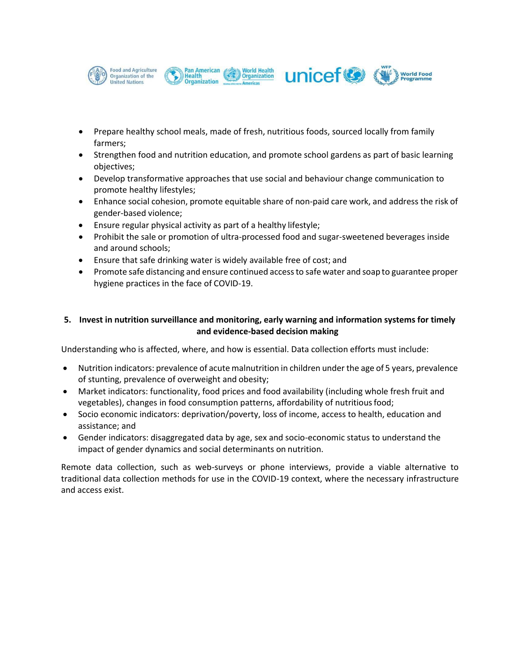

- Prepare healthy school meals, made of fresh, nutritious foods, sourced locally from family farmers;
- Strengthen food and nutrition education, and promote school gardens as part of basic learning objectives;
- Develop transformative approaches that use social and behaviour change communication to promote healthy lifestyles;
- Enhance social cohesion, promote equitable share of non-paid care work, and address the risk of gender-based violence;
- Ensure regular physical activity as part of a healthy lifestyle;
- Prohibit the sale or promotion of ultra-processed food and sugar-sweetened beverages inside and around schools;
- Ensure that safe drinking water is widely available free of cost; and
- Promote safe distancing and ensure continued accessto safe water and soap to guarantee proper hygiene practices in the face of COVID-19.

# **5. Invest in nutrition surveillance and monitoring, early warning and information systems for timely and evidence-based decision making**

Understanding who is affected, where, and how is essential. Data collection efforts must include:

- Nutrition indicators: prevalence of acute malnutrition in children under the age of 5 years, prevalence of stunting, prevalence of overweight and obesity;
- Market indicators: functionality, food prices and food availability (including whole fresh fruit and vegetables), changes in food consumption patterns, affordability of nutritiousfood;
- Socio economic indicators: deprivation/poverty, loss of income, access to health, education and assistance; and
- Gender indicators: disaggregated data by age, sex and socio-economic status to understand the impact of gender dynamics and social determinants on nutrition.

Remote data collection, such as web-surveys or phone interviews, provide a viable alternative to traditional data collection methods for use in the COVID-19 context, where the necessary infrastructure and access exist.